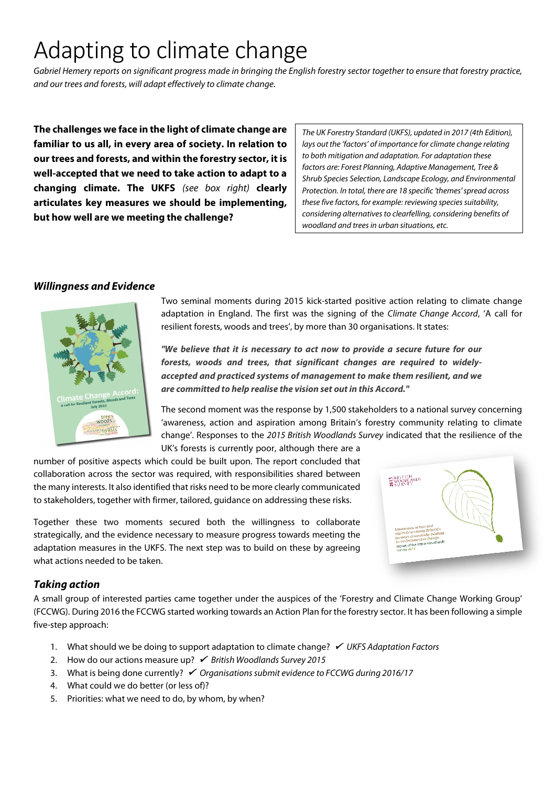# Adapting to climate change

*Gabriel Hemery reports on significant progress made in bringing the English forestry sector together to ensure that forestry practice, and our trees and forests, will adapt effectively to climate change.*

**The challenges we face in the light of climate change are familiar to us all, in every area of society. In relation to our trees and forests, and within the forestry sector, it is well-accepted that we need to take action to adapt to a changing climate. The UKFS** *(see box right)* **clearly articulates key measures we should be implementing, but how well are we meeting the challenge?**

*The UK Forestry Standard (UKFS), updated in 2017 (4th Edition), lays out the 'factors' of importance for climate change relating to both mitigation and adaptation. For adaptation these factors are: Forest Planning, Adaptive Management, Tree & Shrub Species Selection, Landscape Ecology, and Environmental Protection. In total, there are 18 specific 'themes' spread across these five factors, for example: reviewing species suitability, considering alternatives to clearfelling, considering benefits of woodland and trees in urban situations, etc.*

## *Willingness and Evidence*



Two seminal moments during 2015 kick-started positive action relating to climate change adaptation in England. The first was the signing of the *Climate Change Accord*, 'A call for resilient forests, woods and trees', by more than 30 organisations. It states:

*"We believe that it is necessary to act now to provide a secure future for our forests, woods and trees, that significant changes are required to widelyaccepted and practiced systems of management to make them resilient, and we are committed to help realise the vision set out in this Accord."*

The second moment was the response by 1,500 stakeholders to a national survey concerning 'awareness, action and aspiration among Britain's forestry community relating to climate change'. Responses to the *2015 British Woodlands Survey* indicated that the resilience of the UK's forests is currently poor, although there are a

number of positive aspects which could be built upon. The report concluded that collaboration across the sector was required, with responsibilities shared between the many interests. It also identified that risks need to be more clearly communicated to stakeholders, together with firmer, tailored, guidance on addressing these risks.

Together these two moments secured both the willingness to collaborate strategically, and the evidence necessary to measure progress towards meeting the adaptation measures in the UKFS. The next step was to build on these by agreeing what actions needed to be taken.



## *Taking action*

A small group of interested parties came together under the auspices of the 'Forestry and Climate Change Working Group' (FCCWG). During 2016 the FCCWG started working towards an Action Plan for the forestry sector. It has been following a simple five-step approach:

- 1. What should we be doing to support adaptation to climate change? *V UKFS Adaptation Factors*
- 2. How do our actions measure up?  *British Woodlands Survey 2015*
- 3. What is being done currently?  *Organisations submit evidence to FCCWG during 2016/17*
- 4. What could we do better (or less of)?
- 5. Priorities: what we need to do, by whom, by when?